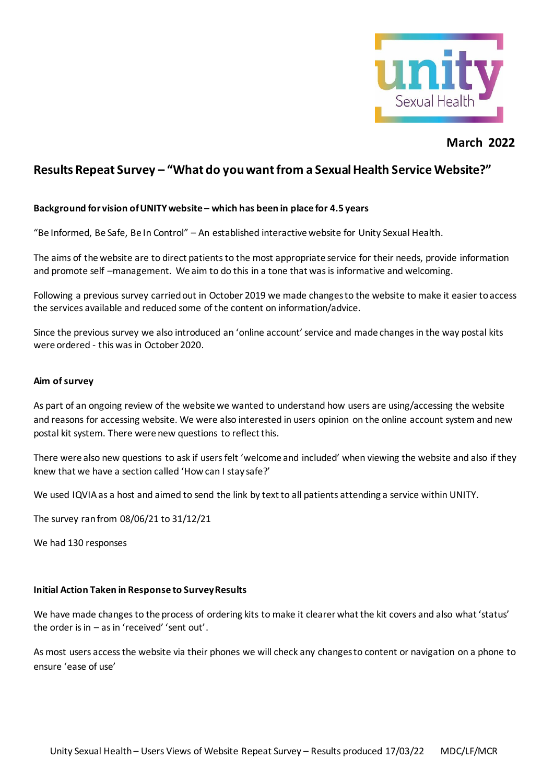

# **March 2022**

# **Results Repeat Survey – "What do you want from a Sexual Health Service Website?"**

#### **Background for vision of UNITY website – which has been in place for 4.5 years**

"Be Informed, Be Safe, Be In Control" – An established interactive website for Unity Sexual Health.

The aims of the website are to direct patients to the most appropriate service for their needs, provide information and promote self –management. We aim to do this in a tone that was is informative and welcoming.

Following a previous survey carried out in October 2019 we made changes to the website to make it easier to access the services available and reduced some of the content on information/advice.

Since the previous survey we also introduced an 'online account' service and made changes in the way postal kits were ordered - this was in October 2020.

#### **Aim of survey**

As part of an ongoing review of the website we wanted to understand how users are using/accessing the website and reasons for accessing website. We were also interested in users opinion on the online account system and new postal kit system. There were new questions to reflect this.

There were also new questions to ask if users felt 'welcome and included' when viewing the website and also if they knew that we have a section called 'How can I stay safe?'

We used IQVIA as a host and aimed to send the link by text to all patients attending a service within UNITY.

The survey ran from 08/06/21 to 31/12/21

We had 130 responses

#### **Initial Action Taken in Response to Survey Results**

We have made changes to the process of ordering kits to make it clearer what the kit covers and also what 'status' the order is in – as in 'received' 'sent out'.

As most users access the website via their phones we will check any changes to content or navigation on a phone to ensure 'ease of use'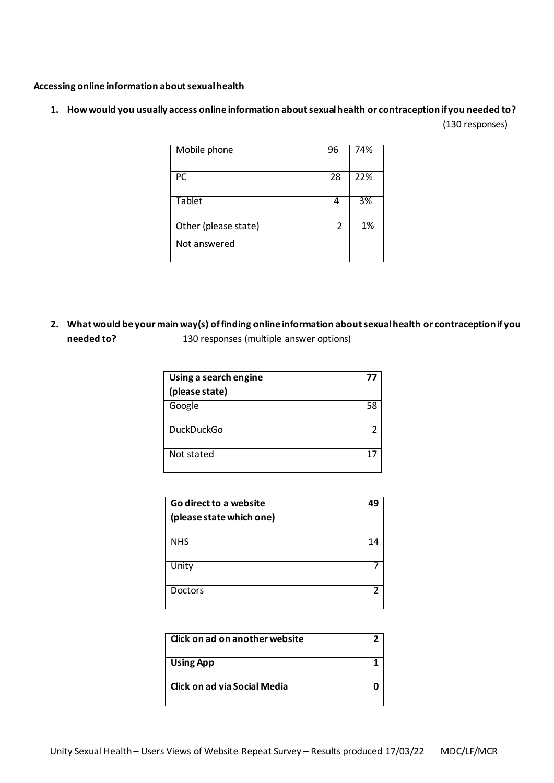#### **Accessing online information about sexual health**

# **1. How would you usually access online information about sexual health or contraception if you needed to?**

(130 responses)

| Mobile phone         | 96             | 74% |
|----------------------|----------------|-----|
| PC                   | 28             | 22% |
| Tablet               | 4              | 3%  |
| Other (please state) | $\mathfrak{p}$ | 1%  |
| Not answered         |                |     |

**2. What would be your main way(s) of finding online information about sexual health or contraception if you needed to?** 130 responses (multiple answer options)

| Using a search engine<br>(please state) | 77 |
|-----------------------------------------|----|
| Google                                  | 58 |
| <b>DuckDuckGo</b>                       |    |
| Not stated                              | 17 |

| Go direct to a website   | 49             |
|--------------------------|----------------|
| (please state which one) |                |
|                          |                |
| <b>NHS</b>               | 14             |
| Unity                    |                |
| <b>Doctors</b>           | $\overline{2}$ |

| Click on ad on another website |  |
|--------------------------------|--|
| <b>Using App</b>               |  |
| Click on ad via Social Media   |  |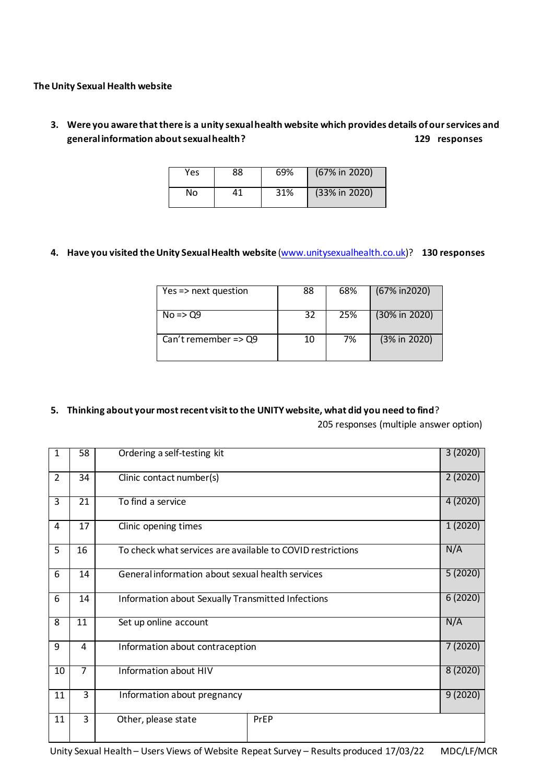**The Unity Sexual Health website**

**3. Were you aware that there is a unity sexual health website which provides details of our services and general information about sexual health? 129 responses**

| Yes | 88 | 69% | (67% in 2020) |
|-----|----|-----|---------------|
| No  | 41 | 31% | (33% in 2020) |

**4. Have you visited the Unity Sexual Health website** [\(www.unitysexualhealth.co.uk\)](http://www.unitysexualhealth.co.uk/)? **130 responses**

| Yes => next question            | 88 | 68% | (67% in 2020)             |
|---------------------------------|----|-----|---------------------------|
| $No \Rightarrow Q9$             | 32 | 25% | $(30\% \text{ in } 2020)$ |
| Can't remember $\Rightarrow$ Q9 | 10 | 7%  | (3% in 2020)              |

### **5. Thinking about your most recent visit to the UNITY website, what did you need to find**?

205 responses (multiple answer option)

| $\mathbf{1}$   | 58             | 3(2020)<br>Ordering a self-testing kit                            |         |         |  |  |  |  |  |  |
|----------------|----------------|-------------------------------------------------------------------|---------|---------|--|--|--|--|--|--|
| $\overline{2}$ | 34             | Clinic contact number(s)                                          | 2(2020) |         |  |  |  |  |  |  |
| 3              | 21             | To find a service                                                 |         | 4(2020) |  |  |  |  |  |  |
| 4              | 17             | Clinic opening times                                              | 1(2020) |         |  |  |  |  |  |  |
| 5              | 16             | N/A<br>To check what services are available to COVID restrictions |         |         |  |  |  |  |  |  |
| 6              | 14             | 5(2020)<br>General information about sexual health services       |         |         |  |  |  |  |  |  |
| 6              | 14             | 6(2020)<br>Information about Sexually Transmitted Infections      |         |         |  |  |  |  |  |  |
| 8              | 11             | N/A<br>Set up online account                                      |         |         |  |  |  |  |  |  |
| 9              | 4              | 7(2020)<br>Information about contraception                        |         |         |  |  |  |  |  |  |
| 10             | $\overline{7}$ | 8(2020)<br>Information about HIV                                  |         |         |  |  |  |  |  |  |
| 11             | 3              | 9(2020)<br>Information about pregnancy                            |         |         |  |  |  |  |  |  |
| 11             | 3              | Other, please state                                               | PrEP    |         |  |  |  |  |  |  |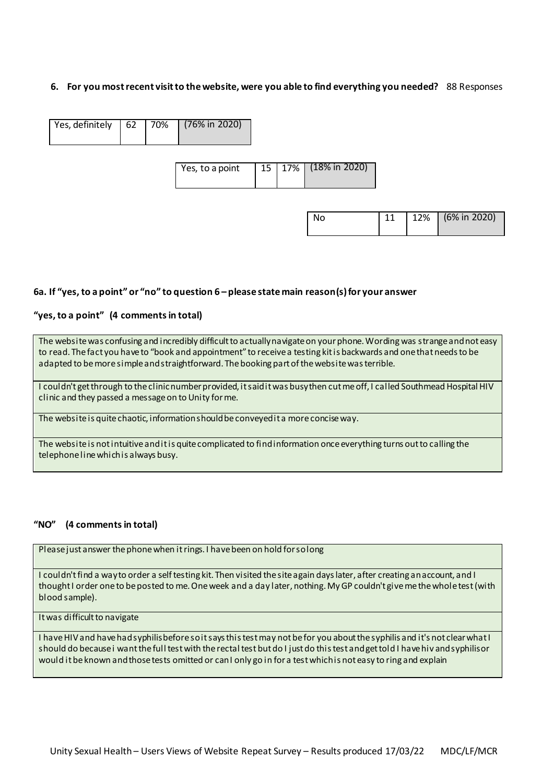#### **6. For you most recent visit to the website, were you able to find everything you needed?** 88 Responses

| Yes, definitely   62   70%   (76% in 2020) |  |                 |  |                      |
|--------------------------------------------|--|-----------------|--|----------------------|
|                                            |  | Yes, to a point |  | 15 17% (18% in 2020) |
|                                            |  |                 |  |                      |

| No. |  | $12\%$ (6% in 2020) |
|-----|--|---------------------|
|     |  |                     |

#### **6a. If "yes, to a point" or "no" to question 6 – please state main reason(s) for your answer**

#### **"yes, to a point" (4 commentsin total)**

The website was confusing and incredibly difficult to actually navigate on your phone. Wording was strange and not easy to read. The fact you have to "book and appointment" to receive a testing kit is backwards and one that needs to be adapted to be more simple and straightforward. The booking part of the website was terrible.

I couldn't get through to the clinic number provided, it said it was busy then cut me off, I called Southmead Hospital HIV clinic and they passed a message on to Unity for me.

The website is quite chaotic, information should be conveyed it a more concise way.

The website is not intuitive and it is quite complicated to find information once everything turns out to calling the telephone line which is always busy.

### **"NO" (4 commentsin total)**

Please just answer the phone when it rings. I have been on hold for so long

I couldn't find a way to order a self testing kit. Then visited the site again days later, after creating an account, and I thought I order one to be posted to me. One week and a day later, nothing. My GP couldn't give me the whole test (with blood sample).

It was difficult to navigate

I have HIV and have had syphilis before so it says this test may not be for you about the syphilis and it's not clear what I should do because i want the full test with the rectal test but do I just do this test and get told I have hiv and syphilis or would it be known and those tests omitted or can I only go in for a test which is not easy to ring and explain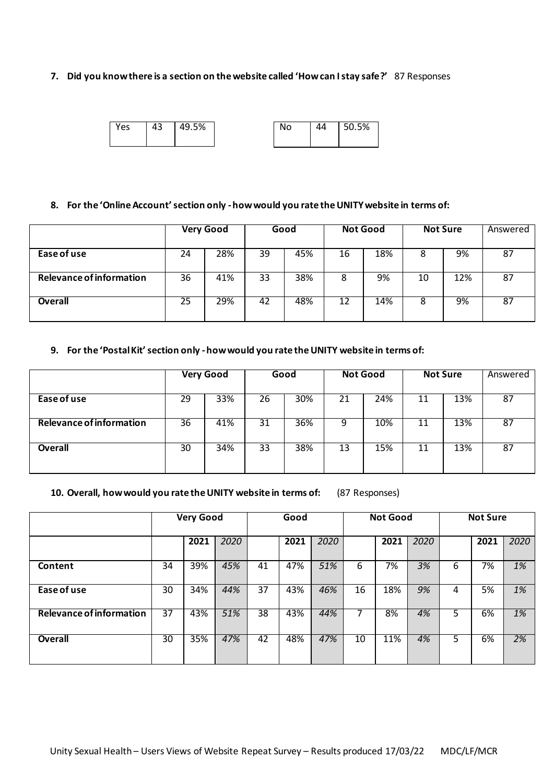#### **7. Did you know there is a section on the website called 'How can I stay safe?'** 87 Responses

|  | 'es | 43 | 49.5% |  | No | 44 | 50.5% |
|--|-----|----|-------|--|----|----|-------|
|--|-----|----|-------|--|----|----|-------|

#### **8. For the 'Online Account' section only -how would you rate the UNITY website in terms of:**

|                          | <b>Very Good</b> |     | Good |     | <b>Not Good</b> |     | <b>Not Sure</b> |     | Answered |
|--------------------------|------------------|-----|------|-----|-----------------|-----|-----------------|-----|----------|
| Ease of use              | 24               | 28% | 39   | 45% | 16              | 18% | 8               | 9%  | 87       |
| Relevance of information | 36               | 41% | 33   | 38% | 8               | 9%  | 10              | 12% | 87       |
| Overall                  | 25               | 29% | 42   | 48% | 12              | 14% | 8               | 9%  | 87       |

#### **9. For the 'Postal Kit' section only -how would you rate the UNITY website in terms of:**

|                          | <b>Very Good</b> |     | Good |     | <b>Not Good</b> |     | <b>Not Sure</b> |     | Answered |
|--------------------------|------------------|-----|------|-----|-----------------|-----|-----------------|-----|----------|
|                          |                  |     |      |     |                 |     |                 |     |          |
| Ease of use              | 29               | 33% | 26   | 30% | 21              | 24% | 11              | 13% | 87       |
| Relevance of information | 36               | 41% | 31   | 36% | 9               | 10% | 11              | 13% | 87       |
| Overall                  | 30               | 34% | 33   | 38% | 13              | 15% | 11              | 13% | 87       |

#### **10. Overall, how would you rate the UNITY website in terms of:** (87 Responses)

|                          |    | <b>Very Good</b><br><b>Not Good</b><br>Good |      |    | <b>Not Sure</b> |      |    |      |      |   |      |      |
|--------------------------|----|---------------------------------------------|------|----|-----------------|------|----|------|------|---|------|------|
|                          |    | 2021                                        | 2020 |    | 2021            | 2020 |    | 2021 | 2020 |   | 2021 | 2020 |
| Content                  | 34 | 39%                                         | 45%  | 41 | 47%             | 51%  | 6  | 7%   | 3%   | 6 | 7%   | 1%   |
| Ease of use              | 30 | 34%                                         | 44%  | 37 | 43%             | 46%  | 16 | 18%  | 9%   | 4 | 5%   | 1%   |
| Relevance of information | 37 | 43%                                         | 51%  | 38 | 43%             | 44%  |    | 8%   | 4%   | 5 | 6%   | 1%   |
| Overall                  | 30 | 35%                                         | 47%  | 42 | 48%             | 47%  | 10 | 11%  | 4%   | 5 | 6%   | 2%   |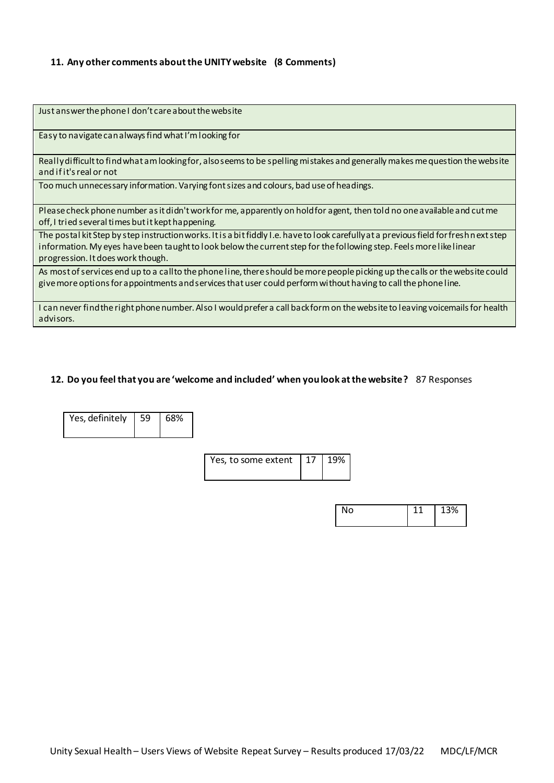### **11. Any other comments about the UNITY website (8 Comments)**

| Just answer the phone I don't care about the website                                                                                                                                                                                                                                             |
|--------------------------------------------------------------------------------------------------------------------------------------------------------------------------------------------------------------------------------------------------------------------------------------------------|
| Easy to navigate can always find what I'm looking for                                                                                                                                                                                                                                            |
| Really difficult to find what am looking for, also seems to be spelling mistakes and generally makes me question the website<br>and if it's real or not                                                                                                                                          |
| Too much unnecessary information. Varying font sizes and colours, bad use of headings.                                                                                                                                                                                                           |
| Please check phone number as it didn't work for me, apparently on hold for agent, then told no one available and cut me<br>off, I tried several times but it kept happening.                                                                                                                     |
| The postal kit Step by step instruction works. It is a bit fiddly I.e. have to look carefully at a previous field for freshnext step<br>information. My eyes have been taught to look below the current step for the following step. Feels more like linear<br>progression. It does work though. |
| As most of services end up to a call to the phone line, there should be more people picking up the calls or the website could<br>give more options for appointments and services that user could perform without having to call the phone line.                                                  |
| I can never find the right phone number. Also I would prefer a call backform on the website to leaving voicemails for health<br>advisors.                                                                                                                                                        |

### **12. Do you feel that you are 'welcome and included' when you look at the website?** 87 Responses

| Yes, definitely | 59 | 68% |
|-----------------|----|-----|
|                 |    |     |

| Yes, to some extent   $17$   $19\%$ |  |  |  |
|-------------------------------------|--|--|--|
|-------------------------------------|--|--|--|

| No | 3% |
|----|----|
|    |    |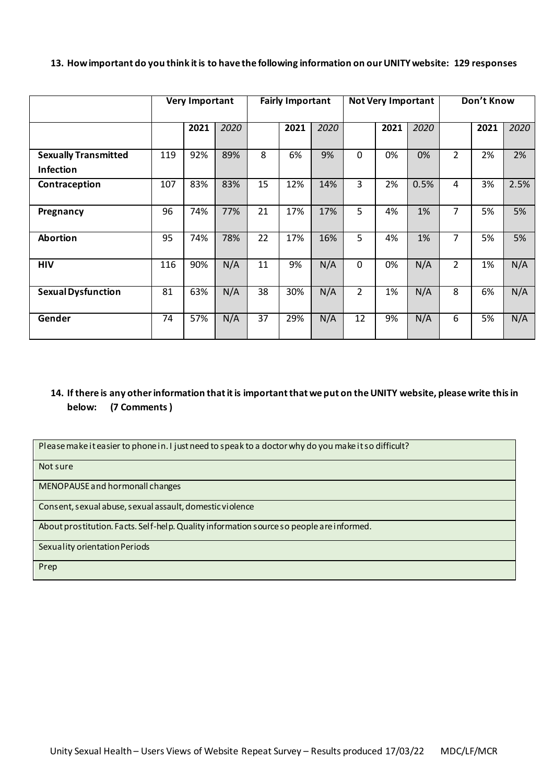| 13. How important do you think it is to have the following information on our UNITY website: 129 responses |  |
|------------------------------------------------------------------------------------------------------------|--|
|------------------------------------------------------------------------------------------------------------|--|

|                                                 |     | <b>Very Important</b> |      |                 | <b>Fairly Important</b> |      | <b>Not Very Important</b> |      |      | Don't Know     |      |      |
|-------------------------------------------------|-----|-----------------------|------|-----------------|-------------------------|------|---------------------------|------|------|----------------|------|------|
|                                                 |     | 2021                  | 2020 |                 | 2021                    | 2020 |                           | 2021 | 2020 |                | 2021 | 2020 |
| <b>Sexually Transmitted</b><br><b>Infection</b> | 119 | 92%                   | 89%  | 8               | 6%                      | 9%   | $\mathbf{0}$              | 0%   | 0%   | 2              | 2%   | 2%   |
| Contraception                                   | 107 | 83%                   | 83%  | 15              | 12%                     | 14%  | 3                         | 2%   | 0.5% | 4              | 3%   | 2.5% |
| Pregnancy                                       | 96  | 74%                   | 77%  | 21              | 17%                     | 17%  | 5                         | 4%   | 1%   | 7              | 5%   | 5%   |
| <b>Abortion</b>                                 | 95  | 74%                   | 78%  | 22              | 17%                     | 16%  | 5                         | 4%   | 1%   | 7              | 5%   | 5%   |
| <b>HIV</b>                                      | 116 | 90%                   | N/A  | 11              | 9%                      | N/A  | $\Omega$                  | 0%   | N/A  | $\overline{2}$ | 1%   | N/A  |
| <b>Sexual Dysfunction</b>                       | 81  | 63%                   | N/A  | 38              | 30%                     | N/A  | $\overline{2}$            | 1%   | N/A  | 8              | 6%   | N/A  |
| Gender                                          | 74  | 57%                   | N/A  | $\overline{37}$ | 29%                     | N/A  | 12                        | 9%   | N/A  | 6              | 5%   | N/A  |

## **14. If there is any other information that it is important that we put on the UNITY website, please write this in below: (7 Comments)**

Please make it easier to phone in. I just need to speak to a doctor why do you make it so difficult?

Not sure

MENOPAUSE and hormonall changes

Consent, sexual abuse, sexual assault, domestic violence

About prostitution. Facts. Self-help. Quality information source so people are informed.

Sexuality orientation Periods

Prep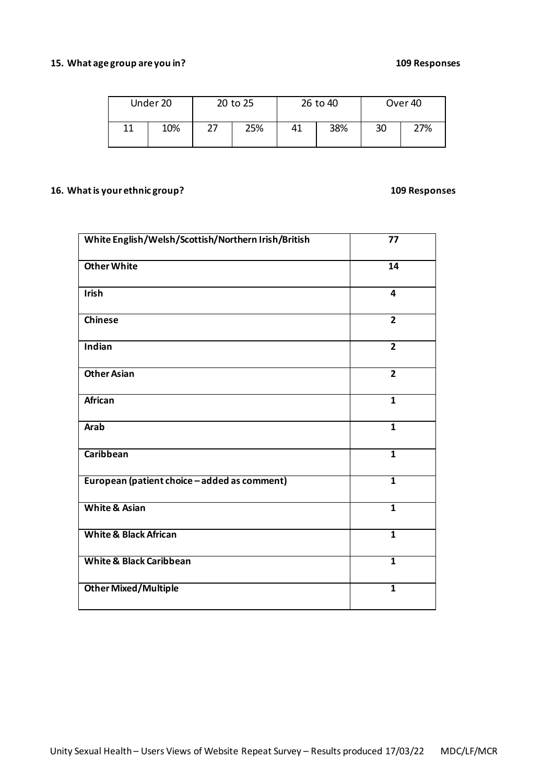## **15. What age group are you in? 109 Responses**

|    | Under 20 | 20 to 25 |     |    | 26 to 40 | Over <sub>40</sub> |     |  |
|----|----------|----------|-----|----|----------|--------------------|-----|--|
| 11 | 10%      |          | 25% | 41 | 38%      | 30                 | 27% |  |

# **16. What is your ethnic group? 109 Responses**

| White English/Welsh/Scottish/Northern Irish/British | 77                      |
|-----------------------------------------------------|-------------------------|
| <b>Other White</b>                                  | 14                      |
| Irish                                               | $\overline{\mathbf{4}}$ |
| <b>Chinese</b>                                      | $\overline{2}$          |
| Indian                                              | $\overline{2}$          |
| <b>Other Asian</b>                                  | $\overline{2}$          |
| <b>African</b>                                      | $\mathbf{1}$            |
| <b>Arab</b>                                         | $\mathbf{1}$            |
| <b>Caribbean</b>                                    | $\overline{\mathbf{1}}$ |
| European (patient choice - added as comment)        | $\overline{1}$          |
| <b>White &amp; Asian</b>                            | $\overline{1}$          |
| <b>White &amp; Black African</b>                    | $\overline{\mathbf{1}}$ |
| <b>White &amp; Black Caribbean</b>                  | $\mathbf{1}$            |
| <b>Other Mixed/Multiple</b>                         | $\overline{\mathbf{1}}$ |